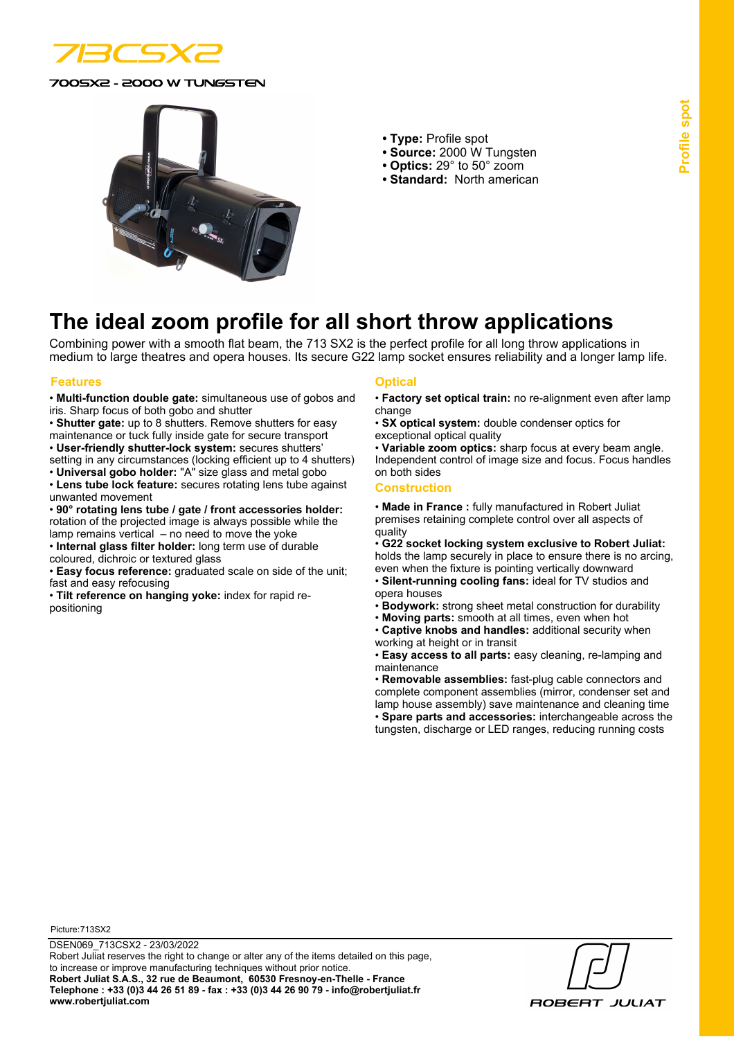

0SX2 - 2000 W TUNGSTEN



- **Type:** Profile spot
- **Source:** 2000 W Tungsten
- **Optics:** 29° to 50° zoom
- **Standard:** North american

# **The ideal zoom profile for all short throw applications**

Combining power with a smooth flat beam, the 713 SX2 is the perfect profile for all long throw applications in medium to large theatres and opera houses. Its secure G22 lamp socket ensures reliability and a longer lamp life.

### **Features Optical**

• **Multi-function double gate:** simultaneous use of gobos and iris. Sharp focus of both gobo and shutter

• **Shutter gate:** up to 8 shutters. Remove shutters for easy maintenance or tuck fully inside gate for secure transport • **User-friendly shutter-lock system:** secures shutters'

setting in any circumstances (locking efficient up to 4 shutters) • **Universal gobo holder:** "A" size glass and metal gobo

• **Lens tube lock feature:** secures rotating lens tube against unwanted movement

• **90° rotating lens tube / gate / front accessories holder:** rotation of the projected image is always possible while the lamp remains vertical – no need to move the yoke

• **Internal glass filter holder:** long term use of durable coloured, dichroic or textured glass

• **Easy focus reference:** graduated scale on side of the unit; fast and easy refocusing

• **Tilt reference on hanging yoke:** index for rapid repositioning

- **Factory set optical train:** no re-alignment even after lamp change
- **SX optical system:** double condenser optics for exceptional optical quality

• **Variable zoom optics:** sharp focus at every beam angle. Independent control of image size and focus. Focus handles on both sides

#### **Construction**

• **Made in France :** fully manufactured in Robert Juliat premises retaining complete control over all aspects of quality

• **G22 socket locking system exclusive to Robert Juliat:** holds the lamp securely in place to ensure there is no arcing,

even when the fixture is pointing vertically downward • **Silent-running cooling fans:** ideal for TV studios and opera houses

• **Bodywork:** strong sheet metal construction for durability

- **Moving parts:** smooth at all times, even when hot
- **Captive knobs and handles:** additional security when working at height or in transit

• **Easy access to all parts:** easy cleaning, re-lamping and maintenance

• **Removable assemblies:** fast-plug cable connectors and complete component assemblies (mirror, condenser set and lamp house assembly) save maintenance and cleaning time • **Spare parts and accessories:** interchangeable across the tungsten, discharge or LED ranges, reducing running costs

Picture:713SX2

**ROBERT JULIAT**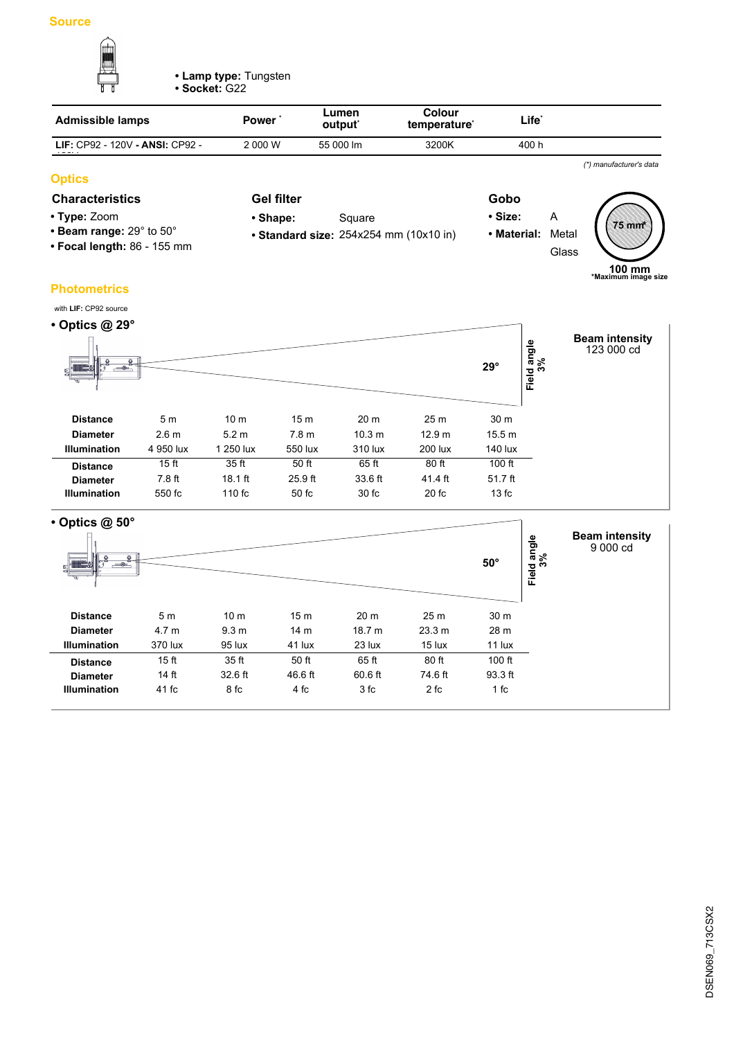

**• Lamp type:** Tungsten

**• Socket:** G22

| <b>Admissible lamps</b>         | Power'  | Lumen<br>output <sup>*</sup> | Colour<br>temperature <sup>*</sup> | Life <sup>*</sup> |  |
|---------------------------------|---------|------------------------------|------------------------------------|-------------------|--|
| LIF: CP92 - 120V - ANSI: CP92 - | 2 000 W | 55 000 lm                    | 3200K                              | 400 h             |  |
|                                 |         |                              |                                    |                   |  |

# **Optics**

# **Characteristics Gel filter Gobo**

- **Type:** Zoom
- **Beam range:** 29° to 50°
- **Focal length:** 86 155 mm
- **Gel filter** • Shape: Square
	- **Standard size:** 254x254 mm (10x10 in)
- 
- **Size:** A **• Material:** Metal Glass **75 mm \***

**100 mm \*Maximum image size**

*(\*) manufacturer's data*

# **Photometrics**

| with LIF: CP92 source       |                  |                 |                  |                   |                   |            |                        |                                     |
|-----------------------------|------------------|-----------------|------------------|-------------------|-------------------|------------|------------------------|-------------------------------------|
| $\cdot$ Optics @ 29 $\circ$ |                  |                 |                  |                   |                   |            |                        |                                     |
| $ -$<br>9.                  |                  |                 |                  |                   |                   | $29^\circ$ | d angle<br>3%<br>Field | <b>Beam intensity</b><br>123 000 cd |
| <b>Distance</b>             | 5 <sub>m</sub>   | 10 <sub>m</sub> | 15 <sub>m</sub>  | 20 <sub>m</sub>   | 25 <sub>m</sub>   | 30 m       |                        |                                     |
| <b>Diameter</b>             | 2.6 <sub>m</sub> | 5.2 m           | 7.8 <sub>m</sub> | 10.3 <sub>m</sub> | 12.9 <sub>m</sub> | 15.5 m     |                        |                                     |
| <b>Illumination</b>         | 4 950 lux        | 1 250 lux       | 550 lux          | 310 lux           | 200 lux           | 140 lux    |                        |                                     |
| <b>Distance</b>             | 15 <sub>ft</sub> | 35 ft           | 50 ft            | 65 ft             | 80 ft             | $100$ ft   |                        |                                     |
| <b>Diameter</b>             | $7.8$ ft         | $18.1$ ft       | 25.9 ft          | 33.6 ft           | 41.4 ft           | $51.7$ ft  |                        |                                     |
| <b>Illumination</b>         | 550 fc           | 110 fc          | $50 f$ c         | 30 fc             | 20 fc             | 13fc       |                        |                                     |

| $\cdot$ Optics @ 50 $^{\circ}$<br>$\circ$<br>o.<br>$-\circ$<br>ь.<br>S.<br>1. ru |                  |                  |                 |                   |                 | $50^\circ$ | Field angle<br>3% | <b>Beam intensity</b><br>9 000 cd |
|----------------------------------------------------------------------------------|------------------|------------------|-----------------|-------------------|-----------------|------------|-------------------|-----------------------------------|
| <b>Distance</b>                                                                  | 5 <sub>m</sub>   | 10 <sub>m</sub>  | 15 <sub>m</sub> | 20 m              | 25 <sub>m</sub> | 30 m       |                   |                                   |
| <b>Diameter</b>                                                                  | 4.7 <sub>m</sub> | 9.3 <sub>m</sub> | 14 <sub>m</sub> | 18.7 <sub>m</sub> | 23.3 m          | 28 m       |                   |                                   |
| <b>Illumination</b>                                                              | 370 lux          | 95 lux           | 41 lux          | 23 lux            | 15 lux          | 11 lux     |                   |                                   |
| <b>Distance</b>                                                                  | 15 <sub>ft</sub> | 35 ft            | 50 ft           | 65 ft             | 80 ft           | $100$ ft   |                   |                                   |
| <b>Diameter</b>                                                                  | 14 ft            | 32.6 ft          | 46.6 ft         | 60.6 ft           | 74.6 ft         | 93.3 ft    |                   |                                   |
| <b>Illumination</b>                                                              | 41 fc            | 8 fc             | 4 fc            | 3 fc              | 2 fc            | 1 fc       |                   |                                   |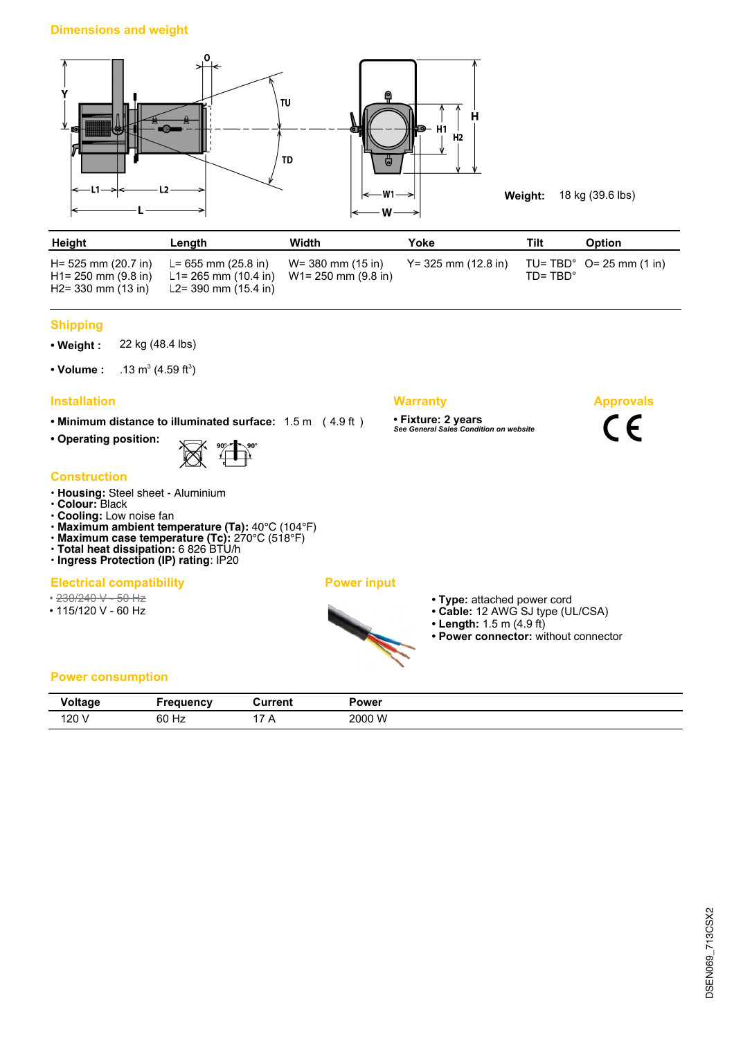

| Height                                                                     | Length                                                                                  | Width                | Yoke                   | Tilt             | <b>Option</b>                         |
|----------------------------------------------------------------------------|-----------------------------------------------------------------------------------------|----------------------|------------------------|------------------|---------------------------------------|
| H= 525 mm (20.7 in)<br>$H1 = 250$ mm $(9.8$ in)<br>$H2 = 330$ mm $(13$ in) | L= 655 mm (25.8 in)<br>L1= 265 mm (10.4 in) W1= 250 mm (9.8 in)<br>L2= 390 mm (15.4 in) | $W = 380$ mm (15 in) | $Y = 325$ mm (12.8 in) | $ID = TBD^\circ$ | $TU = TBD^{\circ}$ $Q = 25$ mm (1 in) |

### **Shipping**

**• Weight :** 22 kg (48.4 lbs)

• Volume :  $(4.59 \text{ ft}^3)$ 

# **Installation Warranty**

**• Minimum distance to illuminated surface:** 1.5 m ( 4.9 ft )

**• Operating position:**



#### **Construction**

- **Housing:** Steel sheet Aluminium
- **Colour:** Black
- **Cooling:** Low noise fan
- **Maximum ambient temperature (Ta):** 40°C (104°F)
- **Maximum case temperature (Tc):** 270°C (518°F)
- **Total heat dissipation:** 6 826 BTU/h **• Ingress Protection (IP) rating**: IP20
- 

# **Electrical compatibility Power input**

- 230/240 V 50 Hz
- 115/120 V 60 Hz



- **Type:** attached power cord
- **Cable:** 12 AWG SJ type (UL/CSA)
- **Length:** 1.5 m (4.9 ft)

**• Fixture: 2 years** *See General Sales Condition on website*

**• Power connector:** without connector

**Approvals**

 $C \in$ 

## **Power consumption**

| <b>Similar</b> | 10000110000001 | วurrent | Power  |
|----------------|----------------|---------|--------|
| v vı uuy       |                |         |        |
| 120            | 60 Hz          | . .     | 2000 W |